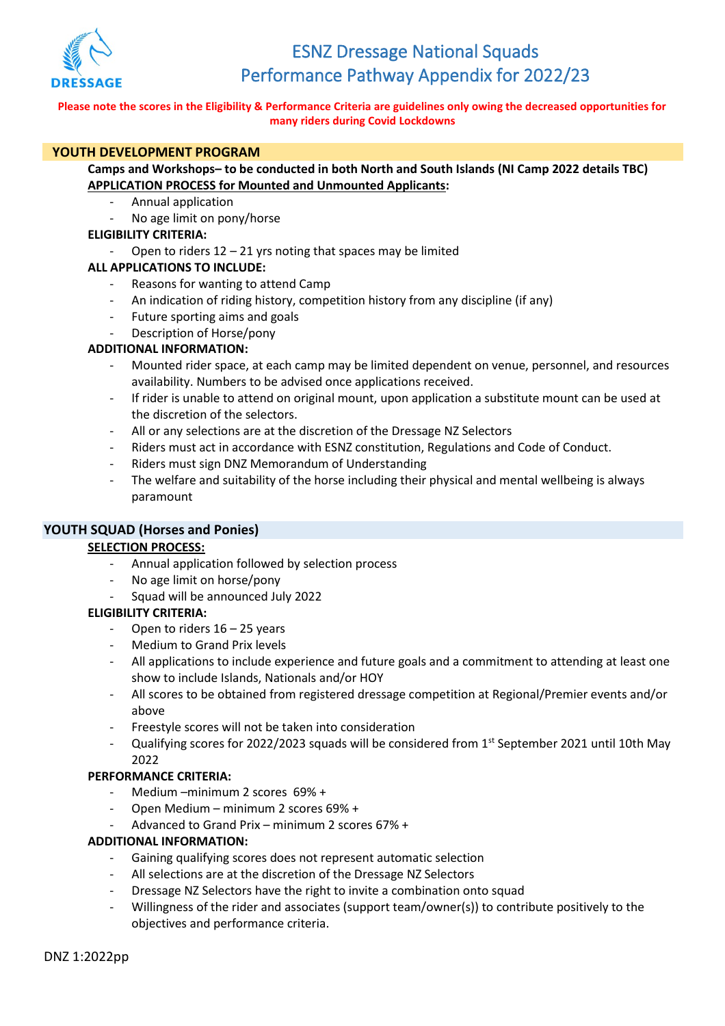

### **Please note the scores in the Eligibility & Performance Criteria are guidelines only owing the decreased opportunities for many riders during Covid Lockdowns**

# **YOUTH DEVELOPMENT PROGRAM**

# **Camps and Workshops– to be conducted in both North and South Islands (NI Camp 2022 details TBC) APPLICATION PROCESS for Mounted and Unmounted Applicants:**

- Annual application
- No age limit on pony/horse

### **ELIGIBILITY CRITERIA:**

Open to riders  $12 - 21$  yrs noting that spaces may be limited

# **ALL APPLICATIONS TO INCLUDE:**

- Reasons for wanting to attend Camp
- An indication of riding history, competition history from any discipline (if any)
- Future sporting aims and goals
- Description of Horse/pony

# **ADDITIONAL INFORMATION:**

- Mounted rider space, at each camp may be limited dependent on venue, personnel, and resources availability. Numbers to be advised once applications received.
- If rider is unable to attend on original mount, upon application a substitute mount can be used at the discretion of the selectors.
- All or any selections are at the discretion of the Dressage NZ Selectors
- Riders must act in accordance with ESNZ constitution, Regulations and Code of Conduct.
- Riders must sign DNZ Memorandum of Understanding
- The welfare and suitability of the horse including their physical and mental wellbeing is always paramount

### **YOUTH SQUAD (Horses and Ponies)**

### **SELECTION PROCESS:**

- Annual application followed by selection process
- No age limit on horse/pony
- Squad will be announced July 2022

### **ELIGIBILITY CRITERIA:**

- Open to riders  $16 25$  years
- Medium to Grand Prix levels
- All applications to include experience and future goals and a commitment to attending at least one show to include Islands, Nationals and/or HOY
- All scores to be obtained from registered dressage competition at Regional/Premier events and/or above
- Freestyle scores will not be taken into consideration
- Qualifying scores for 2022/2023 squads will be considered from 1<sup>st</sup> September 2021 until 10th May 2022

### **PERFORMANCE CRITERIA:**

- Medium –minimum 2 scores 69% +
- Open Medium minimum 2 scores 69% +
- Advanced to Grand Prix minimum 2 scores 67% +

### **ADDITIONAL INFORMATION:**

- Gaining qualifying scores does not represent automatic selection
- All selections are at the discretion of the Dressage NZ Selectors
- Dressage NZ Selectors have the right to invite a combination onto squad
- Willingness of the rider and associates (support team/owner(s)) to contribute positively to the objectives and performance criteria.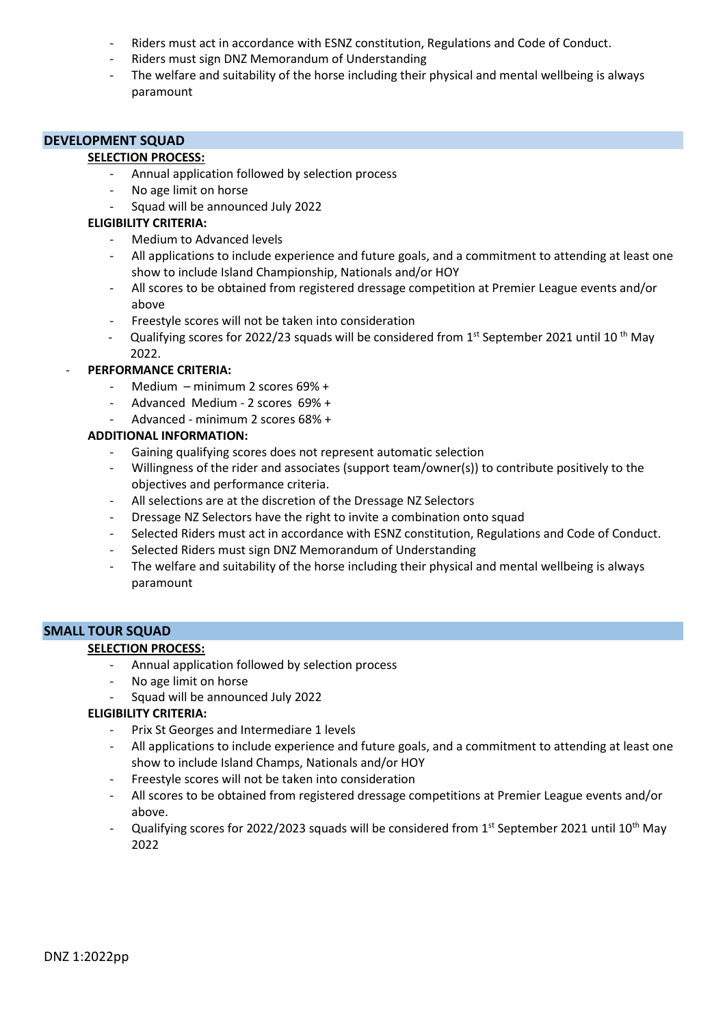- Riders must act in accordance with ESNZ constitution, Regulations and Code of Conduct.
- Riders must sign DNZ Memorandum of Understanding
- The welfare and suitability of the horse including their physical and mental wellbeing is always paramount

### **DEVELOPMENT SQUAD**

#### **SELECTION PROCESS:**

- Annual application followed by selection process
- No age limit on horse
- Squad will be announced July 2022

#### **ELIGIBILITY CRITERIA:**

- Medium to Advanced levels
- All applications to include experience and future goals, and a commitment to attending at least one show to include Island Championship, Nationals and/or HOY
- All scores to be obtained from registered dressage competition at Premier League events and/or above
- Freestyle scores will not be taken into consideration
- Qualifying scores for 2022/23 squads will be considered from  $1<sup>st</sup>$  September 2021 until 10<sup>th</sup> May 2022.

### - **PERFORMANCE CRITERIA:**

- Medium minimum 2 scores 69% +
- Advanced Medium 2 scores 69% +
- Advanced minimum 2 scores 68% +

# **ADDITIONAL INFORMATION:**

- Gaining qualifying scores does not represent automatic selection
- Willingness of the rider and associates (support team/owner(s)) to contribute positively to the objectives and performance criteria.
- All selections are at the discretion of the Dressage NZ Selectors
- Dressage NZ Selectors have the right to invite a combination onto squad
- Selected Riders must act in accordance with ESNZ constitution, Regulations and Code of Conduct.
- Selected Riders must sign DNZ Memorandum of Understanding
- The welfare and suitability of the horse including their physical and mental wellbeing is always paramount

#### **SMALL TOUR SQUAD**

### **SELECTION PROCESS:**

- Annual application followed by selection process
- No age limit on horse
- Squad will be announced July 2022

### **ELIGIBILITY CRITERIA:**

- Prix St Georges and Intermediare 1 levels
- All applications to include experience and future goals, and a commitment to attending at least one show to include Island Champs, Nationals and/or HOY
- Freestyle scores will not be taken into consideration
- All scores to be obtained from registered dressage competitions at Premier League events and/or above.
- Qualifying scores for 2022/2023 squads will be considered from 1st September 2021 until 10<sup>th</sup> May 2022